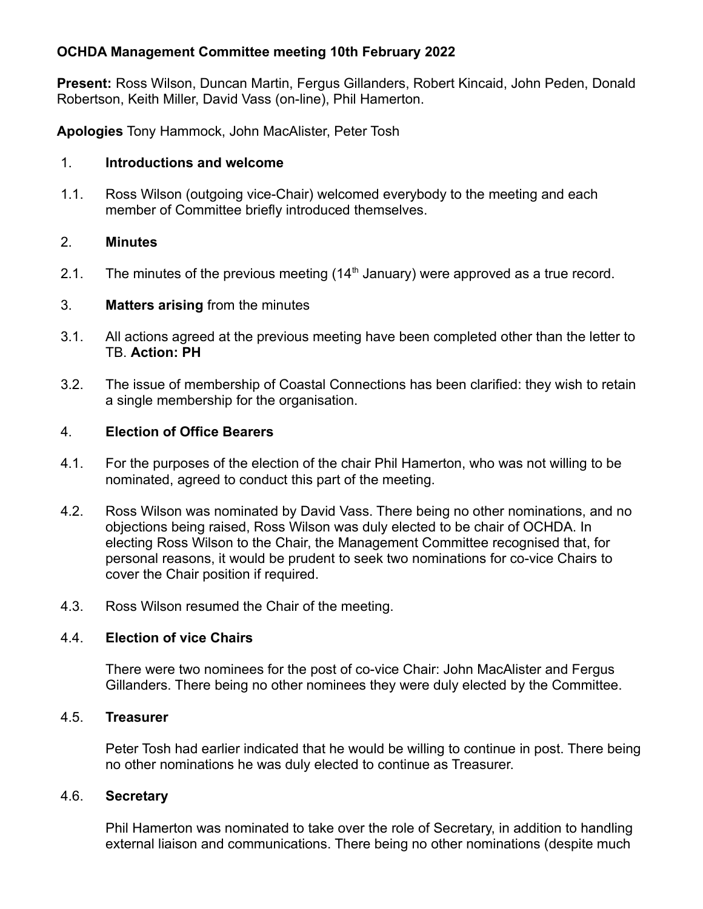## **OCHDA Management Committee meeting 10th February 2022**

**Present:** Ross Wilson, Duncan Martin, Fergus Gillanders, Robert Kincaid, John Peden, Donald Robertson, Keith Miller, David Vass (on-line), Phil Hamerton.

**Apologies** Tony Hammock, John MacAlister, Peter Tosh

#### 1. **Introductions and welcome**

 1.1. Ross Wilson (outgoing vice-Chair) welcomed everybody to the meeting and each member of Committee briefly introduced themselves.

### 2. **Minutes**

2.1. The minutes of the previous meeting  $(14<sup>th</sup>$  January) were approved as a true record.

### 3. **Matters arising** from the minutes

- 3.1. All actions agreed at the previous meeting have been completed other than the letter to TB. **Action: PH**
- 3.2. The issue of membership of Coastal Connections has been clarified: they wish to retain a single membership for the organisation.

### 4. **Election of Office Bearers**

- 4.1. For the purposes of the election of the chair Phil Hamerton, who was not willing to be nominated, agreed to conduct this part of the meeting.
- 4.2. Ross Wilson was nominated by David Vass. There being no other nominations, and no objections being raised, Ross Wilson was duly elected to be chair of OCHDA. In electing Ross Wilson to the Chair, the Management Committee recognised that, for personal reasons, it would be prudent to seek two nominations for co-vice Chairs to cover the Chair position if required.
- 4.3. Ross Wilson resumed the Chair of the meeting.

#### 4.4. **Election of vice Chairs**

There were two nominees for the post of co-vice Chair: John MacAlister and Fergus Gillanders. There being no other nominees they were duly elected by the Committee.

#### 4.5. **Treasurer**

Peter Tosh had earlier indicated that he would be willing to continue in post. There being no other nominations he was duly elected to continue as Treasurer.

#### 4.6. **Secretary**

Phil Hamerton was nominated to take over the role of Secretary, in addition to handling external liaison and communications. There being no other nominations (despite much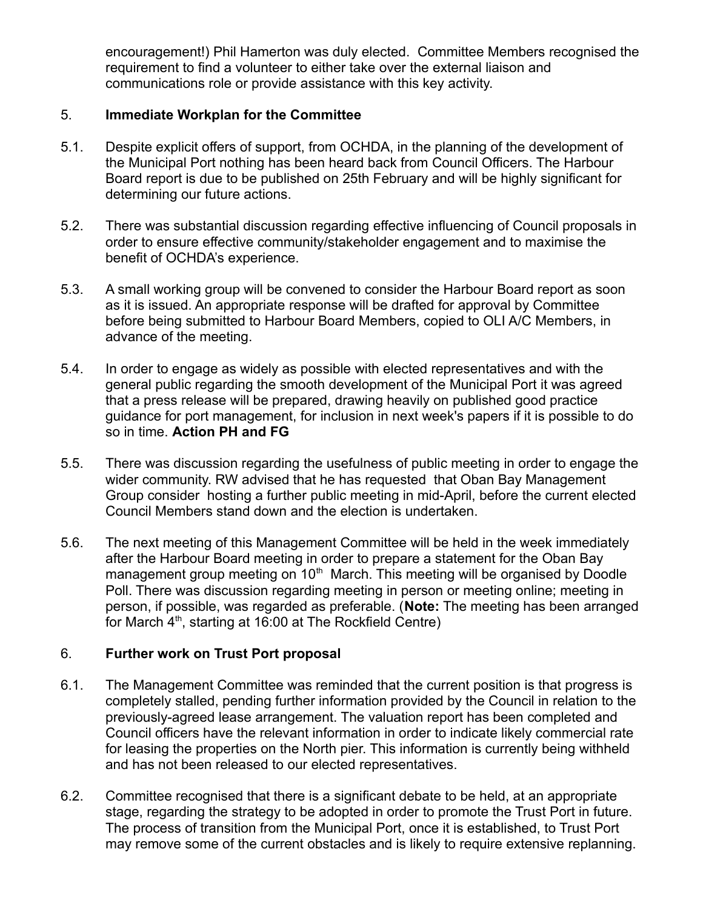encouragement!) Phil Hamerton was duly elected. Committee Members recognised the requirement to find a volunteer to either take over the external liaison and communications role or provide assistance with this key activity.

#### 5. **Immediate Workplan for the Committee**

- 5.1. Despite explicit offers of support, from OCHDA, in the planning of the development of the Municipal Port nothing has been heard back from Council Officers. The Harbour Board report is due to be published on 25th February and will be highly significant for determining our future actions.
- 5.2. There was substantial discussion regarding effective influencing of Council proposals in order to ensure effective community/stakeholder engagement and to maximise the benefit of OCHDA's experience.
- 5.3. A small working group will be convened to consider the Harbour Board report as soon as it is issued. An appropriate response will be drafted for approval by Committee before being submitted to Harbour Board Members, copied to OLI A/C Members, in advance of the meeting.
- 5.4. In order to engage as widely as possible with elected representatives and with the general public regarding the smooth development of the Municipal Port it was agreed that a press release will be prepared, drawing heavily on published good practice guidance for port management, for inclusion in next week's papers if it is possible to do so in time. **Action PH and FG**
- 5.5. There was discussion regarding the usefulness of public meeting in order to engage the wider community. RW advised that he has requested that Oban Bay Management Group consider hosting a further public meeting in mid-April, before the current elected Council Members stand down and the election is undertaken.
- 5.6. The next meeting of this Management Committee will be held in the week immediately after the Harbour Board meeting in order to prepare a statement for the Oban Bay management group meeting on  $10<sup>th</sup>$  March. This meeting will be organised by Doodle Poll. There was discussion regarding meeting in person or meeting online; meeting in person, if possible, was regarded as preferable. (**Note:** The meeting has been arranged for March  $4<sup>th</sup>$ , starting at 16:00 at The Rockfield Centre)

#### 6. **Further work on Trust Port proposal**

- 6.1. The Management Committee was reminded that the current position is that progress is completely stalled, pending further information provided by the Council in relation to the previously-agreed lease arrangement. The valuation report has been completed and Council officers have the relevant information in order to indicate likely commercial rate for leasing the properties on the North pier. This information is currently being withheld and has not been released to our elected representatives.
- 6.2. Committee recognised that there is a significant debate to be held, at an appropriate stage, regarding the strategy to be adopted in order to promote the Trust Port in future. The process of transition from the Municipal Port, once it is established, to Trust Port may remove some of the current obstacles and is likely to require extensive replanning.